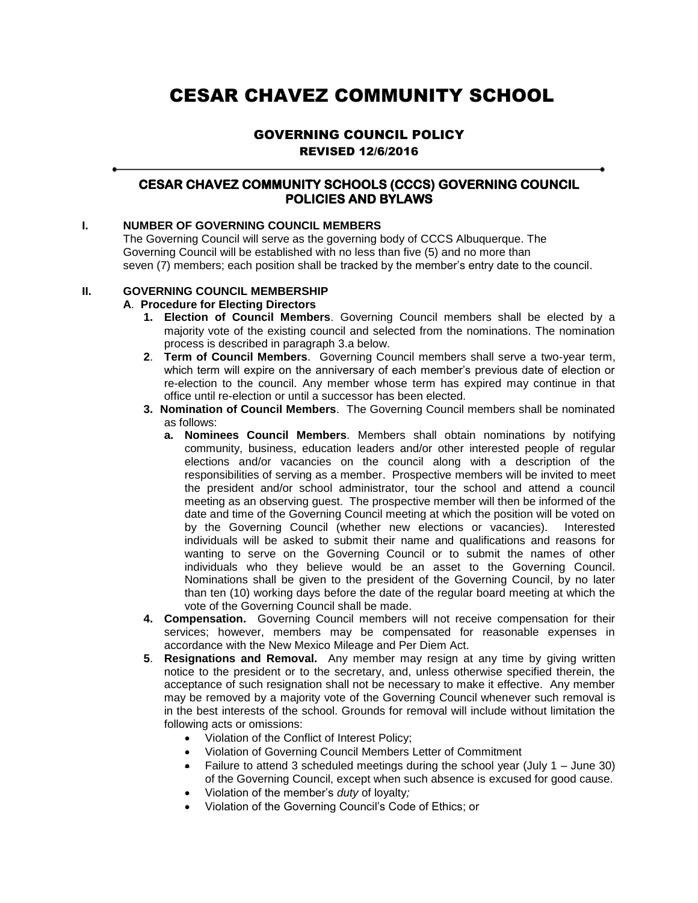# CESAR CHAVEZ COMMUNITY SCHOOL

# GOVERNING COUNCIL POLICY REVISED 12/6/2016

# **CESAR CHAVEZ COMMUNITY SCHOOLS (CCCS) GOVERNING COUNCIL POLICIES AND BYLAWS**

## **I. NUMBER OF GOVERNING COUNCIL MEMBERS**

The Governing Council will serve as the governing body of CCCS Albuquerque. The Governing Council will be established with no less than five (5) and no more than seven (7) members; each position shall be tracked by the member's entry date to the council.

## **II. GOVERNING COUNCIL MEMBERSHIP**

## **A**. **Procedure for Electing Directors**

- **1. Election of Council Members**. Governing Council members shall be elected by a majority vote of the existing council and selected from the nominations. The nomination process is described in paragraph 3.a below.
- **2**. **Term of Council Members**. Governing Council members shall serve a two-year term, which term will expire on the anniversary of each member's previous date of election or re-election to the council. Any member whose term has expired may continue in that office until re-election or until a successor has been elected.
- **3. Nomination of Council Members**. The Governing Council members shall be nominated as follows:
	- **a. Nominees Council Members**. Members shall obtain nominations by notifying community, business, education leaders and/or other interested people of regular elections and/or vacancies on the council along with a description of the responsibilities of serving as a member. Prospective members will be invited to meet the president and/or school administrator, tour the school and attend a council meeting as an observing guest. The prospective member will then be informed of the date and time of the Governing Council meeting at which the position will be voted on by the Governing Council (whether new elections or vacancies). Interested individuals will be asked to submit their name and qualifications and reasons for wanting to serve on the Governing Council or to submit the names of other individuals who they believe would be an asset to the Governing Council. Nominations shall be given to the president of the Governing Council, by no later than ten (10) working days before the date of the regular board meeting at which the vote of the Governing Council shall be made.
- **4. Compensation.** Governing Council members will not receive compensation for their services; however, members may be compensated for reasonable expenses in accordance with the New Mexico Mileage and Per Diem Act.
- **5**. **Resignations and Removal.** Any member may resign at any time by giving written notice to the president or to the secretary, and, unless otherwise specified therein, the acceptance of such resignation shall not be necessary to make it effective. Any member may be removed by a majority vote of the Governing Council whenever such removal is in the best interests of the school. Grounds for removal will include without limitation the following acts or omissions:
	- Violation of the Conflict of Interest Policy;
	- Violation of Governing Council Members Letter of Commitment
	- Failure to attend 3 scheduled meetings during the school year (July  $1 -$  June 30) of the Governing Council, except when such absence is excused for good cause.
	- Violation of the member's *duty* of loyalty*;*
	- Violation of the Governing Council's Code of Ethics; or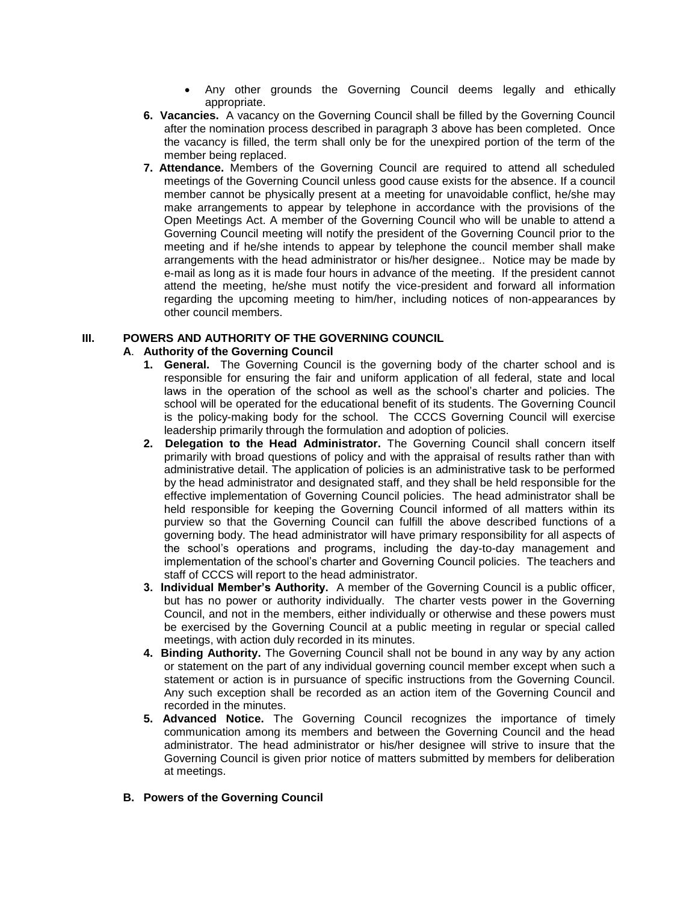- Any other grounds the Governing Council deems legally and ethically appropriate.
- **6. Vacancies.** A vacancy on the Governing Council shall be filled by the Governing Council after the nomination process described in paragraph 3 above has been completed. Once the vacancy is filled, the term shall only be for the unexpired portion of the term of the member being replaced.
- **7. Attendance.** Members of the Governing Council are required to attend all scheduled meetings of the Governing Council unless good cause exists for the absence. If a council member cannot be physically present at a meeting for unavoidable conflict, he/she may make arrangements to appear by telephone in accordance with the provisions of the Open Meetings Act. A member of the Governing Council who will be unable to attend a Governing Council meeting will notify the president of the Governing Council prior to the meeting and if he/she intends to appear by telephone the council member shall make arrangements with the head administrator or his/her designee.. Notice may be made by e-mail as long as it is made four hours in advance of the meeting. If the president cannot attend the meeting, he/she must notify the vice-president and forward all information regarding the upcoming meeting to him/her, including notices of non-appearances by other council members.

## **III. POWERS AND AUTHORITY OF THE GOVERNING COUNCIL**

## **A**. **Authority of the Governing Council**

- **1. General.** The Governing Council is the governing body of the charter school and is responsible for ensuring the fair and uniform application of all federal, state and local laws in the operation of the school as well as the school's charter and policies. The school will be operated for the educational benefit of its students. The Governing Council is the policy-making body for the school. The CCCS Governing Council will exercise leadership primarily through the formulation and adoption of policies.
- **2. Delegation to the Head Administrator.** The Governing Council shall concern itself primarily with broad questions of policy and with the appraisal of results rather than with administrative detail. The application of policies is an administrative task to be performed by the head administrator and designated staff, and they shall be held responsible for the effective implementation of Governing Council policies. The head administrator shall be held responsible for keeping the Governing Council informed of all matters within its purview so that the Governing Council can fulfill the above described functions of a governing body. The head administrator will have primary responsibility for all aspects of the school's operations and programs, including the day-to-day management and implementation of the school's charter and Governing Council policies. The teachers and staff of CCCS will report to the head administrator.
- **3. Individual Member's Authority.** A member of the Governing Council is a public officer, but has no power or authority individually. The charter vests power in the Governing Council, and not in the members, either individually or otherwise and these powers must be exercised by the Governing Council at a public meeting in regular or special called meetings, with action duly recorded in its minutes.
- **4. Binding Authority.** The Governing Council shall not be bound in any way by any action or statement on the part of any individual governing council member except when such a statement or action is in pursuance of specific instructions from the Governing Council. Any such exception shall be recorded as an action item of the Governing Council and recorded in the minutes.
- **5. Advanced Notice.** The Governing Council recognizes the importance of timely communication among its members and between the Governing Council and the head administrator. The head administrator or his/her designee will strive to insure that the Governing Council is given prior notice of matters submitted by members for deliberation at meetings.

## **B. Powers of the Governing Council**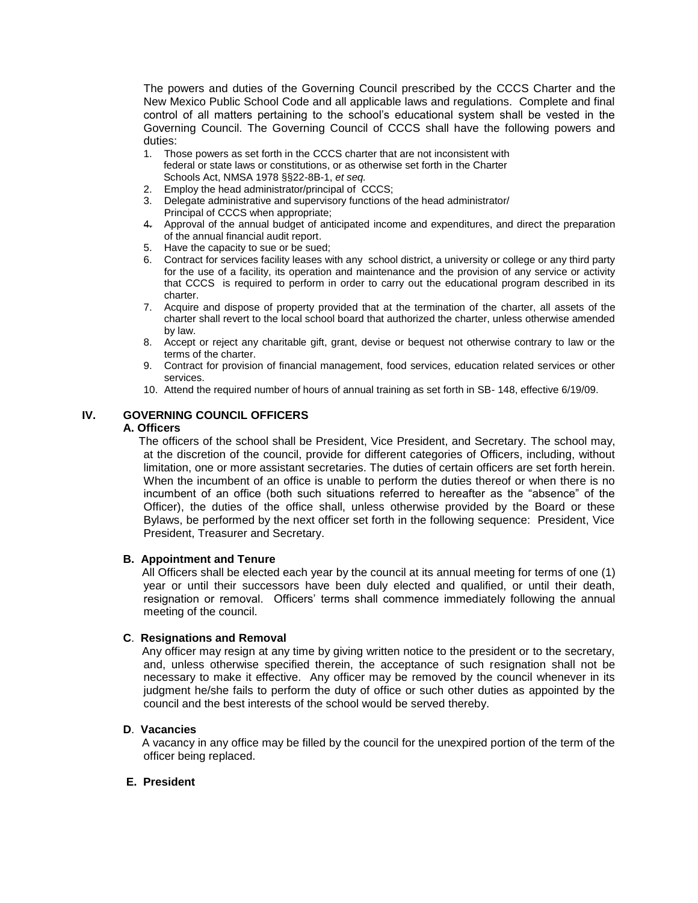The powers and duties of the Governing Council prescribed by the CCCS Charter and the New Mexico Public School Code and all applicable laws and regulations. Complete and final control of all matters pertaining to the school's educational system shall be vested in the Governing Council. The Governing Council of CCCS shall have the following powers and duties:

- 1. Those powers as set forth in the CCCS charter that are not inconsistent with federal or state laws or constitutions, or as otherwise set forth in the Charter Schools Act, NMSA 1978 §§22-8B-1, *et seq.*
- 2. Employ the head administrator/principal of CCCS;
- 3. Delegate administrative and supervisory functions of the head administrator/ Principal of CCCS when appropriate;
- 4. Approval of the annual budget of anticipated income and expenditures, and direct the preparation of the annual financial audit report.
- 5. Have the capacity to sue or be sued;
- 6. Contract for services facility leases with any school district, a university or college or any third party for the use of a facility, its operation and maintenance and the provision of any service or activity that CCCS is required to perform in order to carry out the educational program described in its charter.
- 7. Acquire and dispose of property provided that at the termination of the charter, all assets of the charter shall revert to the local school board that authorized the charter, unless otherwise amended by law.
- 8. Accept or reject any charitable gift, grant, devise or bequest not otherwise contrary to law or the terms of the charter.
- 9. Contract for provision of financial management, food services, education related services or other services.
- 10. Attend the required number of hours of annual training as set forth in SB- 148, effective 6/19/09.

## **IV. GOVERNING COUNCIL OFFICERS**

#### **A. Officers**

The officers of the school shall be President, Vice President, and Secretary. The school may, at the discretion of the council, provide for different categories of Officers, including, without limitation, one or more assistant secretaries. The duties of certain officers are set forth herein. When the incumbent of an office is unable to perform the duties thereof or when there is no incumbent of an office (both such situations referred to hereafter as the "absence" of the Officer), the duties of the office shall, unless otherwise provided by the Board or these Bylaws, be performed by the next officer set forth in the following sequence: President, Vice President, Treasurer and Secretary.

## **B. Appointment and Tenure**

 All Officers shall be elected each year by the council at its annual meeting for terms of one (1) year or until their successors have been duly elected and qualified, or until their death, resignation or removal. Officers' terms shall commence immediately following the annual meeting of the council.

## **C**. **Resignations and Removal**

 Any officer may resign at any time by giving written notice to the president or to the secretary, and, unless otherwise specified therein, the acceptance of such resignation shall not be necessary to make it effective. Any officer may be removed by the council whenever in its judgment he/she fails to perform the duty of office or such other duties as appointed by the council and the best interests of the school would be served thereby.

## **D**. **Vacancies**

 A vacancy in any office may be filled by the council for the unexpired portion of the term of the officer being replaced.

## **E. President**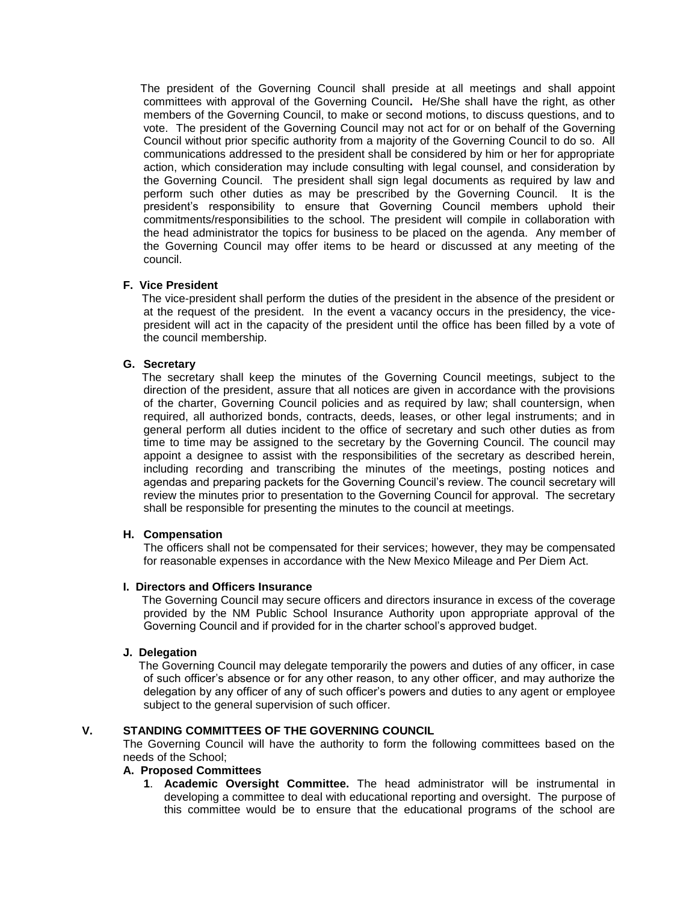The president of the Governing Council shall preside at all meetings and shall appoint committees with approval of the Governing Council**.** He/She shall have the right, as other members of the Governing Council, to make or second motions, to discuss questions, and to vote. The president of the Governing Council may not act for or on behalf of the Governing Council without prior specific authority from a majority of the Governing Council to do so. All communications addressed to the president shall be considered by him or her for appropriate action, which consideration may include consulting with legal counsel, and consideration by the Governing Council. The president shall sign legal documents as required by law and perform such other duties as may be prescribed by the Governing Council. It is the president's responsibility to ensure that Governing Council members uphold their commitments/responsibilities to the school. The president will compile in collaboration with the head administrator the topics for business to be placed on the agenda. Any member of the Governing Council may offer items to be heard or discussed at any meeting of the council.

## **F. Vice President**

 The vice-president shall perform the duties of the president in the absence of the president or at the request of the president. In the event a vacancy occurs in the presidency, the vicepresident will act in the capacity of the president until the office has been filled by a vote of the council membership.

## **G. Secretary**

 The secretary shall keep the minutes of the Governing Council meetings, subject to the direction of the president, assure that all notices are given in accordance with the provisions of the charter, Governing Council policies and as required by law; shall countersign, when required, all authorized bonds, contracts, deeds, leases, or other legal instruments; and in general perform all duties incident to the office of secretary and such other duties as from time to time may be assigned to the secretary by the Governing Council. The council may appoint a designee to assist with the responsibilities of the secretary as described herein, including recording and transcribing the minutes of the meetings, posting notices and agendas and preparing packets for the Governing Council's review. The council secretary will review the minutes prior to presentation to the Governing Council for approval. The secretary shall be responsible for presenting the minutes to the council at meetings.

## **H. Compensation**

The officers shall not be compensated for their services; however, they may be compensated for reasonable expenses in accordance with the New Mexico Mileage and Per Diem Act.

## **I. Directors and Officers Insurance**

The Governing Council may secure officers and directors insurance in excess of the coverage provided by the NM Public School Insurance Authority upon appropriate approval of the Governing Council and if provided for in the charter school's approved budget.

## **J. Delegation**

 The Governing Council may delegate temporarily the powers and duties of any officer, in case of such officer's absence or for any other reason, to any other officer, and may authorize the delegation by any officer of any of such officer's powers and duties to any agent or employee subject to the general supervision of such officer.

## **V. STANDING COMMITTEES OF THE GOVERNING COUNCIL**

The Governing Council will have the authority to form the following committees based on the needs of the School;

## **A. Proposed Committees**

**1**. **Academic Oversight Committee.** The head administrator will be instrumental in developing a committee to deal with educational reporting and oversight. The purpose of this committee would be to ensure that the educational programs of the school are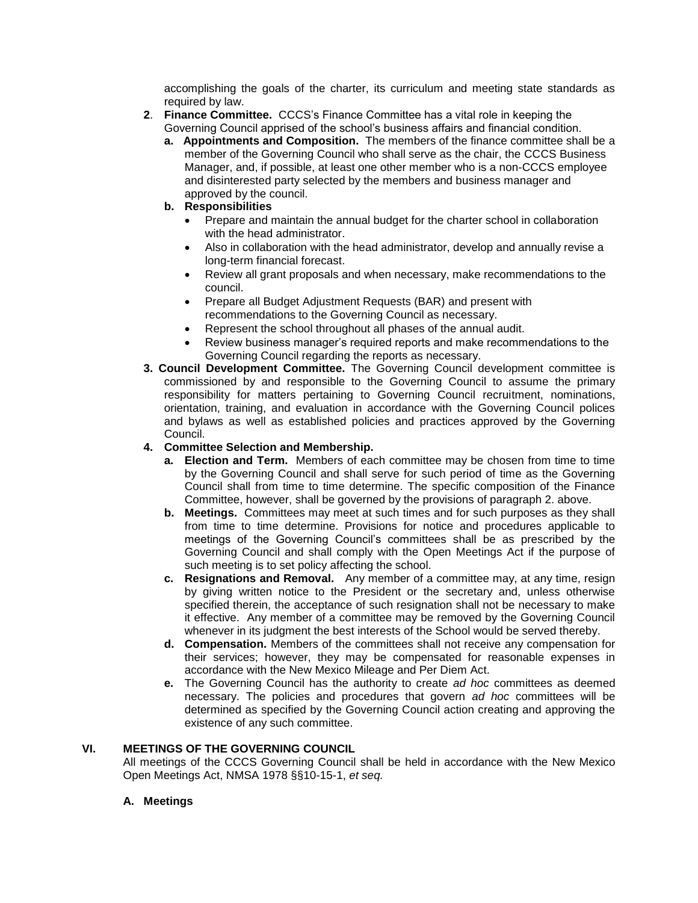accomplishing the goals of the charter, its curriculum and meeting state standards as required by law.

- **2**. **Finance Committee.** CCCS's Finance Committee has a vital role in keeping the Governing Council apprised of the school's business affairs and financial condition.
	- **a. Appointments and Composition.** The members of the finance committee shall be a member of the Governing Council who shall serve as the chair, the CCCS Business Manager, and, if possible, at least one other member who is a non-CCCS employee and disinterested party selected by the members and business manager and approved by the council.
	- **b. Responsibilities**
		- Prepare and maintain the annual budget for the charter school in collaboration with the head administrator.
		- Also in collaboration with the head administrator, develop and annually revise a long-term financial forecast.
		- Review all grant proposals and when necessary, make recommendations to the council.
		- Prepare all Budget Adjustment Requests (BAR) and present with recommendations to the Governing Council as necessary.
		- Represent the school throughout all phases of the annual audit.
		- Review business manager's required reports and make recommendations to the Governing Council regarding the reports as necessary.
- **3. Council Development Committee.** The Governing Council development committee is commissioned by and responsible to the Governing Council to assume the primary responsibility for matters pertaining to Governing Council recruitment, nominations, orientation, training, and evaluation in accordance with the Governing Council polices and bylaws as well as established policies and practices approved by the Governing Council.

## **4. Committee Selection and Membership.**

- **a. Election and Term.** Members of each committee may be chosen from time to time by the Governing Council and shall serve for such period of time as the Governing Council shall from time to time determine. The specific composition of the Finance Committee, however, shall be governed by the provisions of paragraph 2. above.
- **b. Meetings.** Committees may meet at such times and for such purposes as they shall from time to time determine. Provisions for notice and procedures applicable to meetings of the Governing Council's committees shall be as prescribed by the Governing Council and shall comply with the Open Meetings Act if the purpose of such meeting is to set policy affecting the school.
- **c. Resignations and Removal.** Any member of a committee may, at any time, resign by giving written notice to the President or the secretary and, unless otherwise specified therein, the acceptance of such resignation shall not be necessary to make it effective. Any member of a committee may be removed by the Governing Council whenever in its judgment the best interests of the School would be served thereby.
- **d. Compensation.** Members of the committees shall not receive any compensation for their services; however, they may be compensated for reasonable expenses in accordance with the New Mexico Mileage and Per Diem Act.
- **e.** The Governing Council has the authority to create *ad hoc* committees as deemed necessary. The policies and procedures that govern *ad hoc* committees will be determined as specified by the Governing Council action creating and approving the existence of any such committee.

## **VI. MEETINGS OF THE GOVERNING COUNCIL**

All meetings of the CCCS Governing Council shall be held in accordance with the New Mexico Open Meetings Act, NMSA 1978 §§10-15-1, *et seq.*

## **A. Meetings**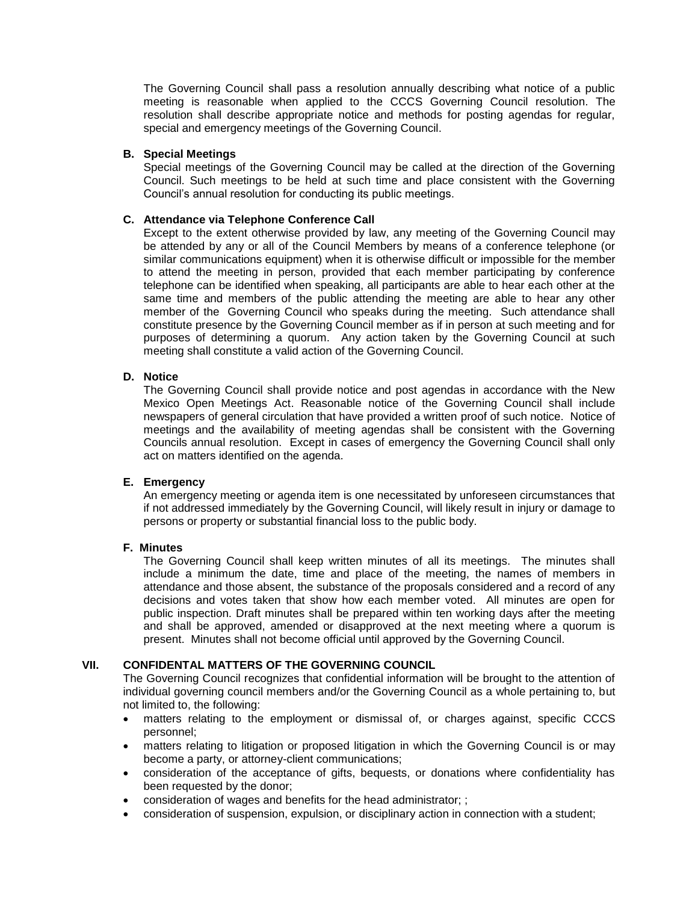The Governing Council shall pass a resolution annually describing what notice of a public meeting is reasonable when applied to the CCCS Governing Council resolution. The resolution shall describe appropriate notice and methods for posting agendas for regular, special and emergency meetings of the Governing Council.

## **B. Special Meetings**

Special meetings of the Governing Council may be called at the direction of the Governing Council. Such meetings to be held at such time and place consistent with the Governing Council's annual resolution for conducting its public meetings.

## **C. Attendance via Telephone Conference Call**

Except to the extent otherwise provided by law, any meeting of the Governing Council may be attended by any or all of the Council Members by means of a conference telephone (or similar communications equipment) when it is otherwise difficult or impossible for the member to attend the meeting in person, provided that each member participating by conference telephone can be identified when speaking, all participants are able to hear each other at the same time and members of the public attending the meeting are able to hear any other member of the Governing Council who speaks during the meeting. Such attendance shall constitute presence by the Governing Council member as if in person at such meeting and for purposes of determining a quorum. Any action taken by the Governing Council at such meeting shall constitute a valid action of the Governing Council.

## **D. Notice**

The Governing Council shall provide notice and post agendas in accordance with the New Mexico Open Meetings Act. Reasonable notice of the Governing Council shall include newspapers of general circulation that have provided a written proof of such notice. Notice of meetings and the availability of meeting agendas shall be consistent with the Governing Councils annual resolution. Except in cases of emergency the Governing Council shall only act on matters identified on the agenda.

## **E. Emergency**

An emergency meeting or agenda item is one necessitated by unforeseen circumstances that if not addressed immediately by the Governing Council, will likely result in injury or damage to persons or property or substantial financial loss to the public body.

## **F. Minutes**

The Governing Council shall keep written minutes of all its meetings. The minutes shall include a minimum the date, time and place of the meeting, the names of members in attendance and those absent, the substance of the proposals considered and a record of any decisions and votes taken that show how each member voted. All minutes are open for public inspection. Draft minutes shall be prepared within ten working days after the meeting and shall be approved, amended or disapproved at the next meeting where a quorum is present. Minutes shall not become official until approved by the Governing Council.

## **VII. CONFIDENTAL MATTERS OF THE GOVERNING COUNCIL**

The Governing Council recognizes that confidential information will be brought to the attention of individual governing council members and/or the Governing Council as a whole pertaining to, but not limited to, the following:

- matters relating to the employment or dismissal of, or charges against, specific CCCS personnel;
- matters relating to litigation or proposed litigation in which the Governing Council is or may become a party, or attorney-client communications;
- consideration of the acceptance of gifts, bequests, or donations where confidentiality has been requested by the donor;
- consideration of wages and benefits for the head administrator; ;
- consideration of suspension, expulsion, or disciplinary action in connection with a student;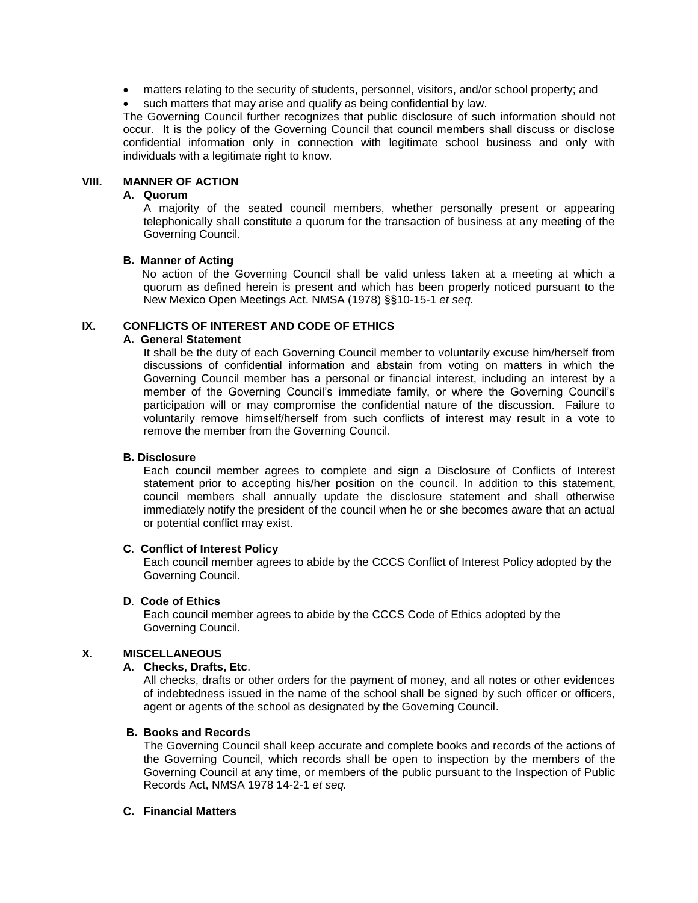- matters relating to the security of students, personnel, visitors, and/or school property; and
- such matters that may arise and qualify as being confidential by law.

The Governing Council further recognizes that public disclosure of such information should not occur. It is the policy of the Governing Council that council members shall discuss or disclose confidential information only in connection with legitimate school business and only with individuals with a legitimate right to know.

## **VIII. MANNER OF ACTION**

#### **A. Quorum**

A majority of the seated council members, whether personally present or appearing telephonically shall constitute a quorum for the transaction of business at any meeting of the Governing Council.

#### **B. Manner of Acting**

 No action of the Governing Council shall be valid unless taken at a meeting at which a quorum as defined herein is present and which has been properly noticed pursuant to the New Mexico Open Meetings Act. NMSA (1978) §§10-15-1 *et seq.* 

## **IX. CONFLICTS OF INTEREST AND CODE OF ETHICS**

## **A. General Statement**

It shall be the duty of each Governing Council member to voluntarily excuse him/herself from discussions of confidential information and abstain from voting on matters in which the Governing Council member has a personal or financial interest, including an interest by a member of the Governing Council's immediate family, or where the Governing Council's participation will or may compromise the confidential nature of the discussion. Failure to voluntarily remove himself/herself from such conflicts of interest may result in a vote to remove the member from the Governing Council.

#### **B. Disclosure**

Each council member agrees to complete and sign a Disclosure of Conflicts of Interest statement prior to accepting his/her position on the council. In addition to this statement, council members shall annually update the disclosure statement and shall otherwise immediately notify the president of the council when he or she becomes aware that an actual or potential conflict may exist.

## **C**. **Conflict of Interest Policy**

Each council member agrees to abide by the CCCS Conflict of Interest Policy adopted by the Governing Council.

#### **D**. **Code of Ethics**

Each council member agrees to abide by the CCCS Code of Ethics adopted by the Governing Council.

## **X. MISCELLANEOUS**

## **A. Checks, Drafts, Etc**.

All checks, drafts or other orders for the payment of money, and all notes or other evidences of indebtedness issued in the name of the school shall be signed by such officer or officers, agent or agents of the school as designated by the Governing Council.

## **B. Books and Records**

The Governing Council shall keep accurate and complete books and records of the actions of the Governing Council, which records shall be open to inspection by the members of the Governing Council at any time, or members of the public pursuant to the Inspection of Public Records Act, NMSA 1978 14-2-1 *et seq.* 

## **C. Financial Matters**